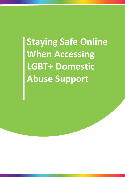**Staying Safe Online When Accessing LGBT+ Domestic Abuse Support**

1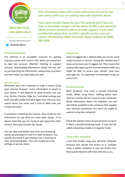

**0800 999 5428** [www.galop.org.uk](http://www.galop.org.uk/)

Contains information about:

 **Domestic Abuse**

### **Getting Help Online**

The internet is an incredible resource for getting help,but comes with certain risks which are important to take into account. Whether chatting to support services, downloading information sheets like this one or just searching for information, taking steps to protect yourself online can help keep you safe.

#### **Browser history**

Whenever you visit a website or make a search using your internet browser, some information is saved to your device. It will depend on what browser you use (e.g. Firefox, Chrome, Edge etc.) and what settings you have, but will usually include images from sites you visit, search terms you enter and a trail of what sites you visited and when.

If someone is checking your device, they could use this information to see what you have been doing - if an abuser feels like you are trying to get away from their control, they may escalate the abuse.

You can view and delete sites from your browsing history by pressing Ctrl and H in most browsers. You should also check if your browser has a function to clear all browsing data - this will usually be in the settings or privacy menu.

**This information sheet offers some advice you can use to stay safe online while you are seeking help with domestic abuse.** 

**Your safety should always be your first priority and if you are ever in immediate danger, call the police on 999. Local domestic abuse services should be able to provide support. If you need confidential advice from an LGBT+ specific service, you can contact the National LGBT+ Domestic Abuse Helpline on 0800 999 5428.**

## **Logging out**

If you're logged into a website (like your email, social media account or forum), closing the window won't necessarily mean you're logged out. That means that anyone who opens up the internet browser after you might be able to access your details, read your messages etc. It's important to remember to log out every time.

## **Private browsing**

Most browsers now have a private browsing mode. When using these, nothing about your internet activity will be saved to your computer. While information about the websites you visit will still be available to the company that supplies your internet connection, this won't be visible to anyone using your computer.

Check the options menu of your browser to see if it offers a private browsing mode. It may also be called anonymous mode or incognito mode.

# **Using public computers**

If you feel unsafe using your personal computer because your abuser has access to it, consider using a public computer if you can access one. Most public libraries offer free internet access.